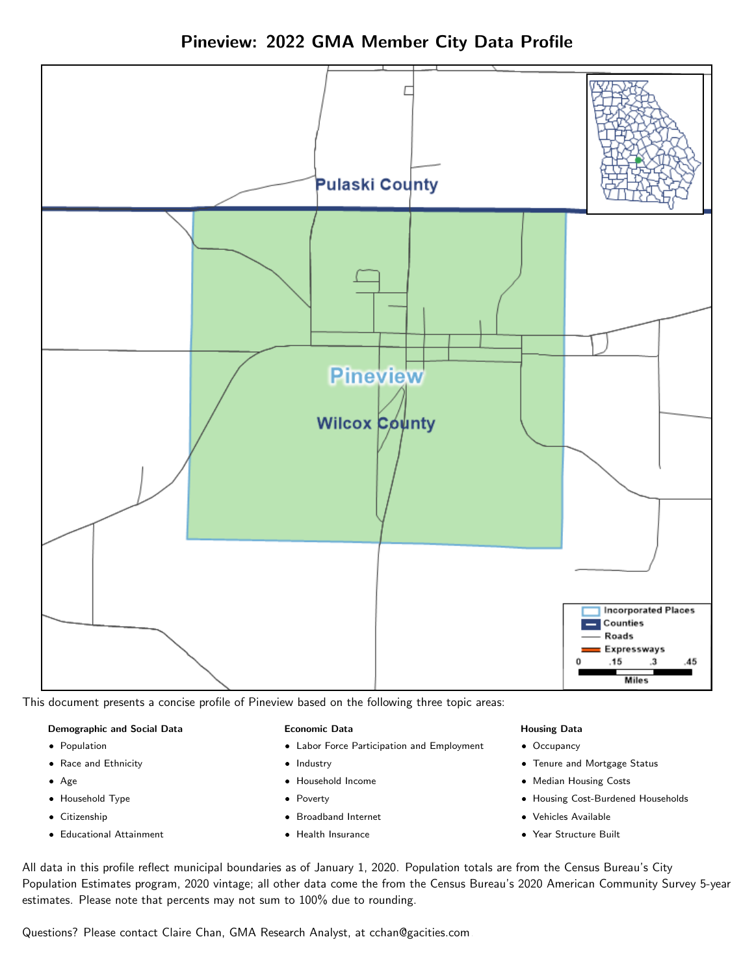



This document presents a concise profile of Pineview based on the following three topic areas:

#### Demographic and Social Data

- **•** Population
- Race and Ethnicity
- Age
- Household Type
- **Citizenship**
- Educational Attainment

#### Economic Data

- Labor Force Participation and Employment
- Industry
- Household Income
- Poverty
- Broadband Internet
- Health Insurance

#### Housing Data

- Occupancy
- Tenure and Mortgage Status
- Median Housing Costs
- Housing Cost-Burdened Households
- Vehicles Available
- Year Structure Built

All data in this profile reflect municipal boundaries as of January 1, 2020. Population totals are from the Census Bureau's City Population Estimates program, 2020 vintage; all other data come the from the Census Bureau's 2020 American Community Survey 5-year estimates. Please note that percents may not sum to 100% due to rounding.

Questions? Please contact Claire Chan, GMA Research Analyst, at [cchan@gacities.com.](mailto:cchan@gacities.com)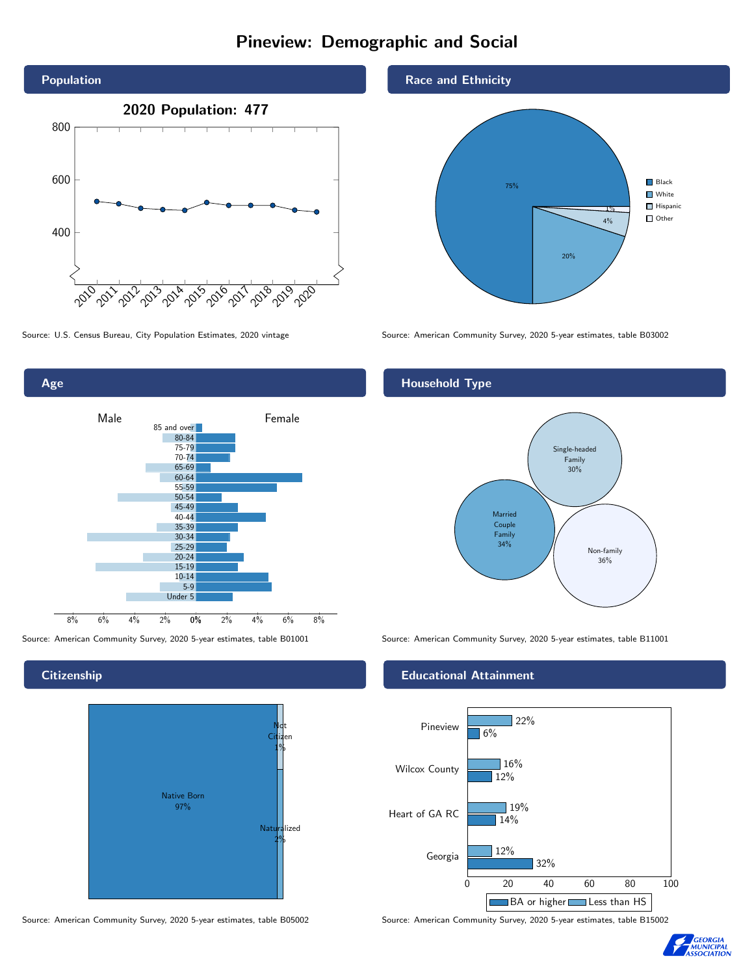# Pineview: Demographic and Social



0% 2% 4% 6% 8% Male **Female** 8% 6% 4% 2% 85 and over 80-84 75-79 70-74 65-69 60-64 55-59 50-54 45-49 40-44 35-39 30-34 25-29 20-24 15-19 10-14 5-9 Under 5

**Citizenship** 

Age



Source: American Community Survey, 2020 5-year estimates, table B05002 Source: American Community Survey, 2020 5-year estimates, table B15002





Source: U.S. Census Bureau, City Population Estimates, 2020 vintage Source: American Community Survey, 2020 5-year estimates, table B03002

### Household Type



Source: American Community Survey, 2020 5-year estimates, table B01001 Source: American Community Survey, 2020 5-year estimates, table B11001

#### Educational Attainment



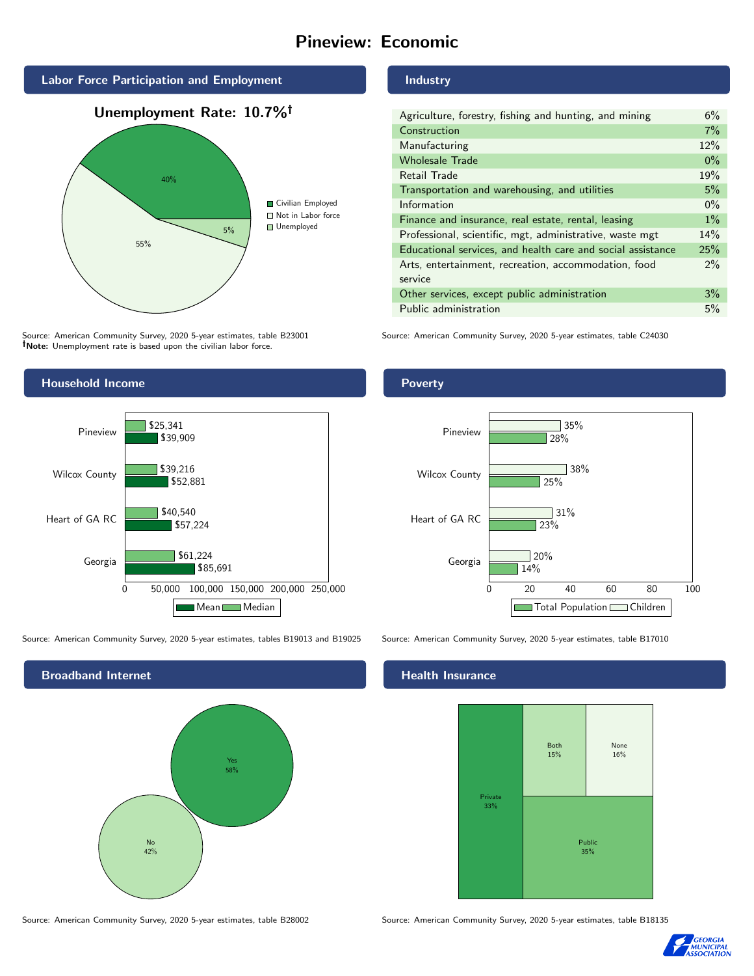# Pineview: Economic



Source: American Community Survey, 2020 5-year estimates, table B23001 Note: Unemployment rate is based upon the civilian labor force.

### Industry

| Agriculture, forestry, fishing and hunting, and mining      | 6%    |
|-------------------------------------------------------------|-------|
| Construction                                                | 7%    |
| Manufacturing                                               | 12%   |
| <b>Wholesale Trade</b>                                      | $0\%$ |
| Retail Trade                                                | 19%   |
| Transportation and warehousing, and utilities               | 5%    |
| Information                                                 | $0\%$ |
| Finance and insurance, real estate, rental, leasing         | $1\%$ |
| Professional, scientific, mgt, administrative, waste mgt    | 14%   |
| Educational services, and health care and social assistance | 25%   |
| Arts, entertainment, recreation, accommodation, food        | $2\%$ |
| service                                                     |       |
| Other services, except public administration                | 3%    |
| Public administration                                       | 5%    |

Source: American Community Survey, 2020 5-year estimates, table C24030



Source: American Community Survey, 2020 5-year estimates, tables B19013 and B19025 Source: American Community Survey, 2020 5-year estimates, table B17010



Poverty



#### Health Insurance



Source: American Community Survey, 2020 5-year estimates, table B28002 Source: American Community Survey, 2020 5-year estimates, table B18135